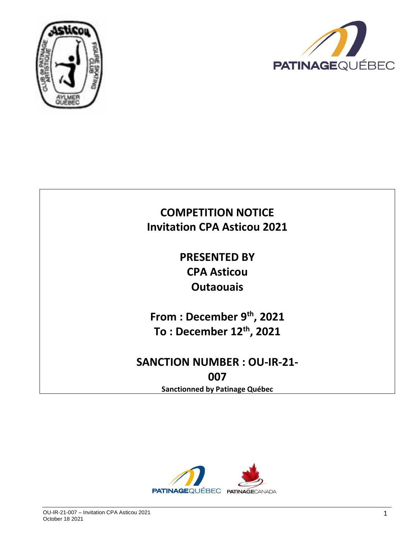



# **COMPETITION NOTICE Invitation CPA Asticou 2021**

**PRESENTED BY CPA Asticou Outaouais**

**From : December 9th, 2021 To : December 12th , 2021**

# **SANCTION NUMBER : OU-IR-21- 007**

**Sanctionned by Patinage Québec**

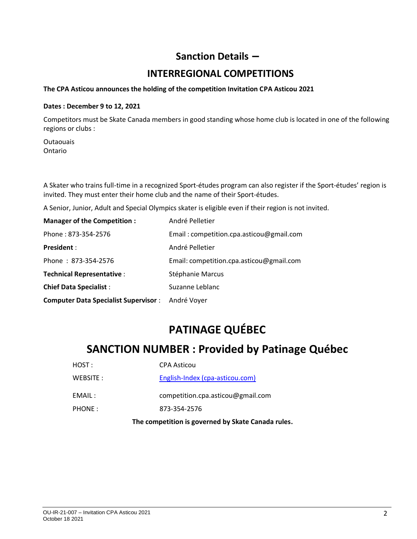## **Sanction Details –**

## **INTERREGIONAL COMPETITIONS**

#### **The CPA Asticou announces the holding of the competition Invitation CPA Asticou 2021**

#### **Dates : December 9 to 12, 2021**

Competitors must be Skate Canada members in good standing whose home club is located in one of the following regions or clubs :

**Outaouais** Ontario

A Skater who trains full-time in a recognized Sport-études program can also register if the Sport-études' region is invited. They must enter their home club and the name of their Sport-études.

A Senior, Junior, Adult and Special Olympics skater is eligible even if their region is not invited.

| <b>Manager of the Competition:</b>          | André Pelletier                          |
|---------------------------------------------|------------------------------------------|
| Phone: 873-354-2576                         | Email: competition.cpa.asticou@gmail.com |
| <b>President:</b>                           | André Pelletier                          |
| Phone: 873-354-2576                         | Email: competition.cpa.asticou@gmail.com |
| <b>Technical Representative:</b>            | Stéphanie Marcus                         |
| <b>Chief Data Specialist:</b>               | Suzanne Leblanc                          |
| <b>Computer Data Specialist Supervisor:</b> | André Voyer                              |

# **PATINAGE QUÉBEC**

## **SANCTION NUMBER : Provided by Patinage Québec**

| HOST:     | <b>CPA Asticou</b>                |
|-----------|-----------------------------------|
| WEBSITE : | English-Index (cpa-asticou.com)   |
| EMAIL :   | competition.cpa.asticou@gmail.com |
| PHONE:    | 873-354-2576                      |
|           |                                   |

**The competition is governed by Skate Canada rules.**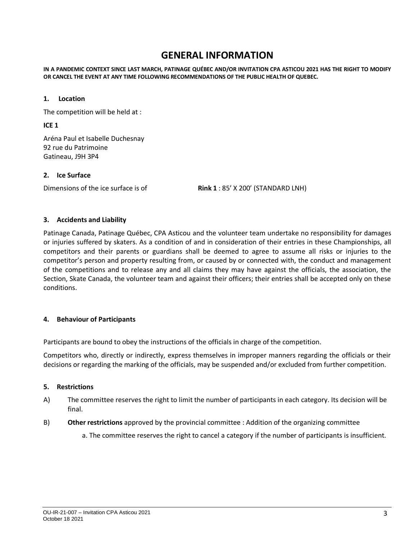## **GENERAL INFORMATION**

**IN A PANDEMIC CONTEXT SINCE LAST MARCH, PATINAGE QUÉBEC AND/OR INVITATION CPA ASTICOU 2021 HAS THE RIGHT TO MODIFY OR CANCEL THE EVENT AT ANY TIME FOLLOWING RECOMMENDATIONS OF THE PUBLIC HEALTH OF QUEBEC.**

#### **1. Location**

The competition will be held at :

**ICE 1**

Aréna Paul et Isabelle Duchesnay 92 rue du Patrimoine Gatineau, J9H 3P4

#### **2. Ice Surface**

Dimensions of the ice surface is of **Rink 1** : 85' X 200' (STANDARD LNH)

#### **3. Accidents and Liability**

Patinage Canada, Patinage Québec, CPA Asticou and the volunteer team undertake no responsibility for damages or injuries suffered by skaters. As a condition of and in consideration of their entries in these Championships, all competitors and their parents or guardians shall be deemed to agree to assume all risks or injuries to the competitor's person and property resulting from, or caused by or connected with, the conduct and management of the competitions and to release any and all claims they may have against the officials, the association, the Section, Skate Canada, the volunteer team and against their officers; their entries shall be accepted only on these conditions.

#### **4. Behaviour of Participants**

Participants are bound to obey the instructions of the officials in charge of the competition.

Competitors who, directly or indirectly, express themselves in improper manners regarding the officials or their decisions or regarding the marking of the officials, may be suspended and/or excluded from further competition.

#### **5. Restrictions**

- A) The committee reserves the right to limit the number of participants in each category. Its decision will be final.
- B) **Other restrictions** approved by the provincial committee : Addition of the organizing committee
	- a. The committee reserves the right to cancel a category if the number of participants is insufficient.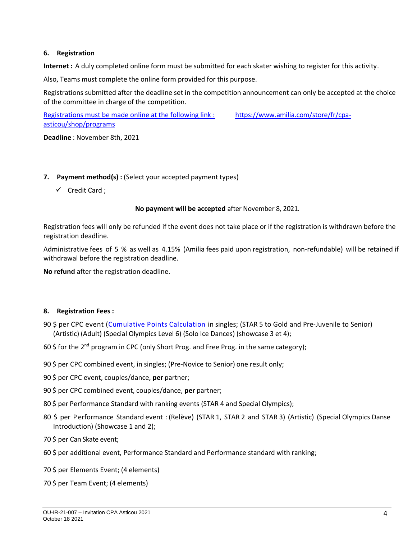#### **6. Registration**

**Internet :** A duly completed online form must be submitted for each skater wishing to register for this activity.

Also, Teams must complete the online form provided for this purpose.

Registrations submitted after the deadline set in the competition announcement can only be accepted at the choice of the committee in charge of the competition.

Registrations must be made online at the following link : [https://www.amilia.com/store/fr/cpa](https://www.amilia.com/store/fr/cpa-asticou/shop/programs)[asticou/shop/programs](https://www.amilia.com/store/fr/cpa-asticou/shop/programs)

**Deadline** : November 8th, 2021

#### **7. Payment method(s) :** (Select your accepted payment types)

✓ Credit Card ;

#### **No payment will be accepted** after November 8, 2021.

Registration fees will only be refunded if the event does not take place or if the registration is withdrawn before the registration deadline.

Administrative fees of 5 % as well as 4.15% (Amilia fees paid upon registration, non-refundable) will be retained if withdrawal before the registration deadline.

**No refund** after the registration deadline.

#### **8. Registration Fees :**

- 90 \$ per CPC event [\(Cumulative Points Calculation](https://info.skatecanada.ca/index.php/en-ca/rules-of-sport/52-marking-of-skate-canada-competitions.html) in singles; (STAR 5 to Gold and Pre-Juvenile to Senior) (Artistic) (Adult) (Special Olympics Level 6) (Solo Ice Dances) (showcase 3 et 4);
- 60 \$ for the 2<sup>nd</sup> program in CPC (only Short Prog. and Free Prog. in the same category);
- 90 \$ per CPC combined event, in singles; (Pre-Novice to Senior) one result only;
- 90 \$ per CPC event, couples/dance, **per** partner;
- 90 \$ per CPC combined event, couples/dance, **per** partner;
- 80 \$ per Performance Standard with ranking events (STAR 4 and Special Olympics);
- 80 \$ per P erformance Standard event :(Relève) (STAR 1, STAR 2 and STAR 3) (Artistic) (Special Olympics Danse Introduction) (Showcase 1 and 2);
- 70 \$ per Can Skate event;
- 60 \$ per additional event, Performance Standard and Performance standard with ranking;
- 70 \$ per Elements Event; (4 elements)
- 70 \$ per Team Event; (4 elements)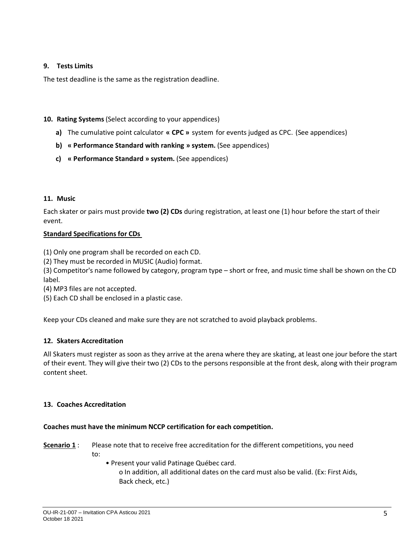#### **9. Tests Limits**

The test deadline is the same as the registration deadline.

#### **10. Rating Systems**(Select according to your appendices)

- **a)** The cumulative point calculator **« CPC »** system for events judged as CPC. (See appendices)
- **b) « Performance Standard with ranking » system.** (See appendices)
- **c) « Performance Standard » system.** (See appendices)

#### **11. Music**

Each skater or pairs must provide **two (2) CDs** during registration, at least one (1) hour before the start of their event.

#### **Standard Specifications for CDs**

(1) Only one program shall be recorded on each CD.

(2) They must be recorded in MUSIC (Audio) format.

(3) Competitor's name followed by category, program type – short or free, and music time shall be shown on the CD label.

(4) MP3 files are not accepted.

(5) Each CD shall be enclosed in a plastic case.

Keep your CDs cleaned and make sure they are not scratched to avoid playback problems.

### **12. Skaters Accreditation**

All Skaters must register as soon as they arrive at the arena where they are skating, at least one jour before the start of their event. They will give their two (2) CDs to the persons responsible at the front desk, along with their program content sheet.

#### **13. Coaches Accreditation**

#### **Coaches must have the minimum NCCP certification for each competition.**

**Scenario 1** : Please note that to receive free accreditation for the different competitions, you need to:

• Present your valid Patinage Québec card. o In addition, all additional dates on the card must also be valid. (Ex: First Aids, Back check, etc.)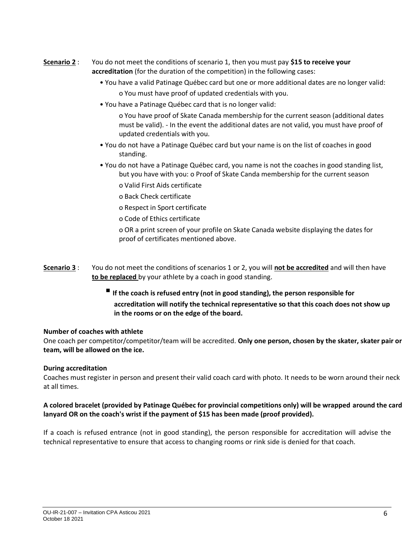- **Scenario 2** : You do not meet the conditions of scenario 1, then you must pay **\$15 to receive your accreditation** (for the duration of the competition) in the following cases:
	- You have a valid Patinage Québec card but one or more additional dates are no longer valid: o You must have proof of updated credentials with you.
	- You have a Patinage Québec card that is no longer valid:

o You have proof of Skate Canada membership for the current season (additional dates must be valid). - In the event the additional dates are not valid, you must have proof of updated credentials with you.

- You do not have a Patinage Québec card but your name is on the list of coaches in good standing.
- You do not have a Patinage Québec card, you name is not the coaches in good standing list, but you have with you: o Proof of Skate Canda membership for the current season
	- o Valid First Aids certificate
	- o Back Check certificate
	- o Respect in Sport certificate
	- o Code of Ethics certificate

o OR a print screen of your profile on Skate Canada website displaying the dates for proof of certificates mentioned above.

- **Scenario 3** : You do not meet the conditions of scenarios 1 or 2, you will **not be accredited** and will then have **to be replaced** by your athlete by a coach in good standing.
	- If the coach is refused entry (not in good standing), the person responsible for **accreditation will notify the technical representative so that this coach does not show up in the rooms or on the edge of the board.**

#### **Number of coaches with athlete**

One coach per competitor/competitor/team will be accredited. **Only one person, chosen by the skater, skater pair or team, will be allowed on the ice.**

#### **During accreditation**

Coaches must register in person and present their valid coach card with photo. It needs to be worn around their neck at all times.

#### **A colored bracelet (provided by Patinage Québec for provincial competitions only) will be wrapped around the card lanyard OR on the coach's wrist if the payment of \$15 has been made (proof provided).**

If a coach is refused entrance (not in good standing), the person responsible for accreditation will advise the technical representative to ensure that access to changing rooms or rink side is denied for that coach.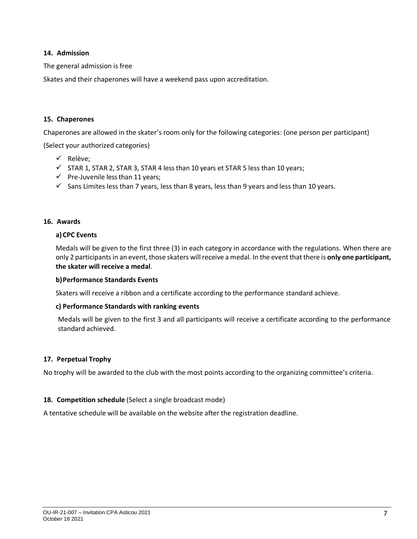#### **14. Admission**

The general admission is free

Skates and their chaperones will have a weekend pass upon accreditation.

#### **15. Chaperones**

Chaperones are allowed in the skater's room only for the following categories: (one person per participant)

(Select your authorized categories)

- ✓ Relève;
- ✓ STAR 1, STAR 2, STAR 3, STAR 4 less than 10 years et STAR 5 less than 10 years;
- $\checkmark$  Pre-Juvenile less than 11 years;
- $\checkmark$  Sans Limites less than 7 years, less than 8 years, less than 9 years and less than 10 years.

#### **16. Awards**

#### **a)CPC Events**

Medals will be given to the first three (3) in each category in accordance with the regulations. When there are only 2 participants in an event, those skaters will receive a medal. In the event that there is **only one participant, the skater will receive a medal**.

#### **b)Performance Standards Events**

Skaters will receive a ribbon and a certificate according to the performance standard achieve.

#### **c) Performance Standards with ranking events**

Medals will be given to the first 3 and all participants will receive a certificate according to the performance standard achieved.

#### **17. Perpetual Trophy**

No trophy will be awarded to the club with the most points according to the organizing committee's criteria.

#### **18. Competition schedule** (Select a single broadcast mode)

A tentative schedule will be available on the website after the registration deadline.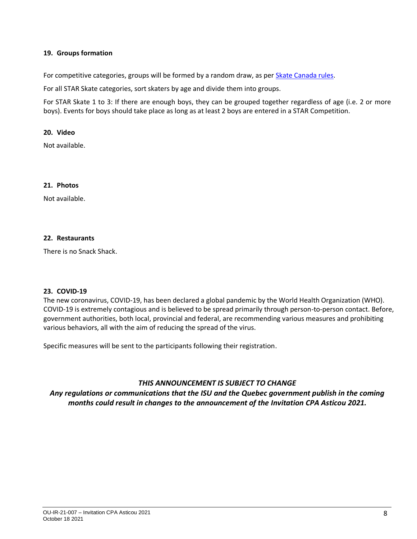#### **19. Groups formation**

For competitive categories, groups will be formed by a random draw, as per [Skate Canada rules.](https://info.skatecanada.ca/index.php/en-ca/rules-of-sport/54-competitions.html)

For all STAR Skate categories, sort skaters by age and divide them into groups.

For STAR Skate 1 to 3: If there are enough boys, they can be grouped together regardless of age (i.e. 2 or more boys). Events for boys should take place as long as at least 2 boys are entered in a STAR Competition.

#### **20. Video**

Not available.

#### **21. Photos**

Not available.

#### **22. Restaurants**

There is no Snack Shack.

#### **23. COVID-19**

The new coronavirus, COVID-19, has been declared a global pandemic by the World Health Organization (WHO). COVID-19 is extremely contagious and is believed to be spread primarily through person-to-person contact. Before, government authorities, both local, provincial and federal, are recommending various measures and prohibiting various behaviors, all with the aim of reducing the spread of the virus.

Specific measures will be sent to the participants following their registration.

#### *THIS ANNOUNCEMENT IS SUBJECT TO CHANGE*

*Any regulations or communications that the ISU and the Quebec government publish in the coming months could result in changes to the announcement of the Invitation CPA Asticou 2021.*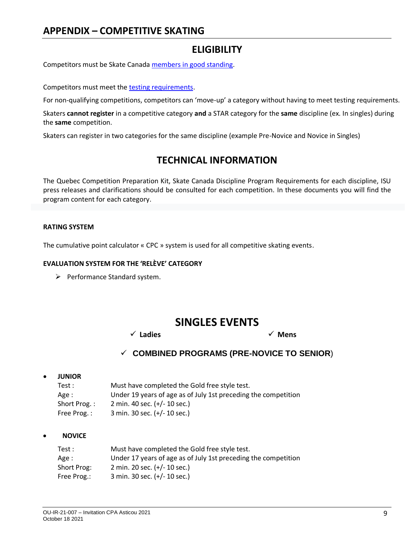## **APPENDIX – COMPETITIVE SKATING**

## **ELIGIBILITY**

Competitors must be Skate Canad[a members in good standing.](https://info.skatecanada.ca/index.php/en-ca/rules-of-sport/54-competitions.html)

Competitors must meet th[e testing requirements.](https://info.skatecanada.ca/index.php/en-ca/rules-of-sport/261-competitive-competition-program-requirements.html)

For non-qualifying competitions, competitors can 'move-up' a category without having to meet testing requirements.

Skaters **cannot register** in a competitive category **and** a STAR category for the **same** discipline (ex. In singles) during the **same** competition.

Skaters can register in two categories for the same discipline (example Pre-Novice and Novice in Singles)

## **TECHNICAL INFORMATION**

The Quebec Competition Preparation Kit, Skate Canada Discipline Program Requirements for each discipline, ISU press releases and clarifications should be consulted for each competition. In these documents you will find the program content for each category.

#### **RATING SYSTEM**

The cumulative point calculator « CPC » system is used for all competitive skating events.

#### **EVALUATION SYSTEM FOR THE 'RELÈVE' CATEGORY**

➢ Performance Standard system.

## **SINGLES EVENTS**

✓ **Ladies** ✓ **Mens**

### ✓ **COMBINED PROGRAMS (PRE-NOVICE TO SENIOR**)

• **JUNIOR**

| Test :       | Must have completed the Gold free style test.                  |
|--------------|----------------------------------------------------------------|
| Age :        | Under 19 years of age as of July 1st preceding the competition |
| Short Prog.: | 2 min. 40 sec. (+/- 10 sec.)                                   |
| Free Prog.:  | 3 min. 30 sec. (+/- 10 sec.)                                   |

#### • **NOVICE**

| Test :      | Must have completed the Gold free style test.                  |
|-------------|----------------------------------------------------------------|
| Age :       | Under 17 years of age as of July 1st preceding the competition |
| Short Prog: | 2 min. 20 sec. (+/- 10 sec.)                                   |
| Free Prog.: | 3 min. 30 sec. (+/- 10 sec.)                                   |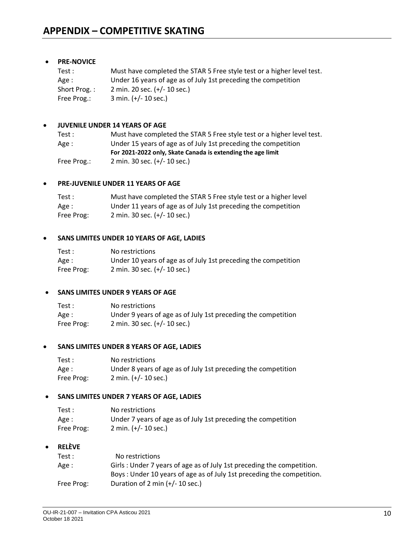#### • **PRE-NOVICE**

| Test :       | Must have completed the STAR 5 Free style test or a higher level test. |
|--------------|------------------------------------------------------------------------|
| Age :        | Under 16 years of age as of July 1st preceding the competition         |
| Short Prog.: | 2 min. 20 sec. (+/- 10 sec.)                                           |
| Free Prog.:  | 3 min. $(+/- 10$ sec.)                                                 |

#### • **JUVENILE UNDER 14 YEARS OF AGE**

| Test:       | Must have completed the STAR 5 Free style test or a higher level test. |
|-------------|------------------------------------------------------------------------|
| Age :       | Under 15 years of age as of July 1st preceding the competition         |
|             | For 2021-2022 only, Skate Canada is extending the age limit            |
| Free Prog.: | 2 min. 30 sec. (+/- 10 sec.)                                           |

#### • **PRE-JUVENILE UNDER 11 YEARS OF AGE**

| Test:      | Must have completed the STAR 5 Free style test or a higher level |
|------------|------------------------------------------------------------------|
| Age :      | Under 11 years of age as of July 1st preceding the competition   |
| Free Prog: | 2 min. 30 sec. $(+/- 10$ sec.)                                   |

#### • **SANS LIMITES UNDER 10 YEARS OF AGE, LADIES**

| Test:      | No restrictions                                                |
|------------|----------------------------------------------------------------|
| Age :      | Under 10 years of age as of July 1st preceding the competition |
| Free Prog: | 2 min. 30 sec. $(+/- 10$ sec.)                                 |

#### • **SANS LIMITES UNDER 9 YEARS OF AGE**

| Test:      | No restrictions                                               |
|------------|---------------------------------------------------------------|
| Age :      | Under 9 years of age as of July 1st preceding the competition |
| Free Prog: | 2 min. 30 sec. (+/- 10 sec.)                                  |

#### • **SANS LIMITES UNDER 8 YEARS OF AGE, LADIES**

| Test:      | No restrictions                                               |
|------------|---------------------------------------------------------------|
| Age :      | Under 8 years of age as of July 1st preceding the competition |
| Free Prog: | $2 \text{ min. } (+/- 10 \text{ sec.})$                       |

#### • **SANS LIMITES UNDER 7 YEARS OF AGE, LADIES**

| Test:      | No restrictions                                               |
|------------|---------------------------------------------------------------|
| Age :      | Under 7 years of age as of July 1st preceding the competition |
| Free Prog: | $2 \text{ min. } (+/- 10 \text{ sec.})$                       |

#### • **RELÈVE**

| Test:      | No restrictions                                                       |
|------------|-----------------------------------------------------------------------|
| Age :      | Girls: Under 7 years of age as of July 1st preceding the competition. |
|            | Boys: Under 10 years of age as of July 1st preceding the competition. |
| Free Prog: | Duration of 2 min $(+/- 10 \text{ sec.})$                             |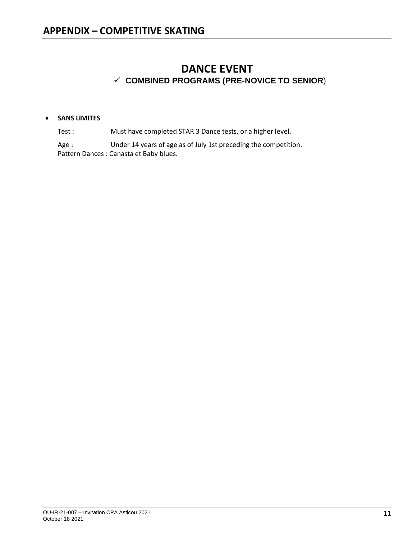## **DANCE EVENT** ✓ **COMBINED PROGRAMS (PRE-NOVICE TO SENIOR**)

#### • **SANS LIMITES**

Test : Must have completed STAR 3 Dance tests, or a higher level.

Age : Under 14 years of age as of July 1st preceding the competition. Pattern Dances : Canasta et Baby blues.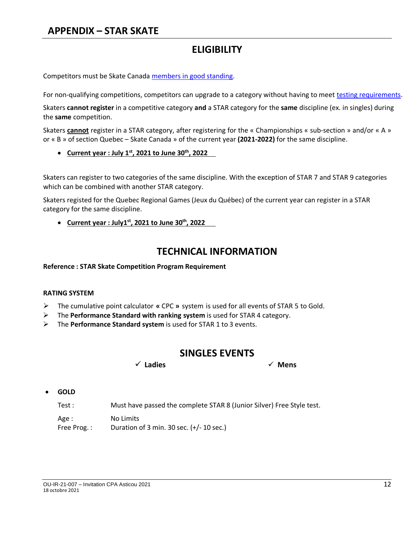## **ELIGIBILITY**

Competitors must be Skate Canad[a members in good standing.](https://info.skatecanada.ca/index.php/en-ca/rules-of-sport/54-competitions.html)

For non-qualifying competitions, competitors can upgrade to a category without having to meet [testing requirements.](https://info.skatecanada.ca/index.php/en-ca/rules-of-sport/261-competitive-competition-program-requirements.html)

Skaters **cannot register** in a competitive category **and** a STAR category for the **same** discipline (ex. in singles) during the **same** competition.

Skaters **cannot** register in a STAR category, after registering for the « Championships « sub-section » and/or « A » or « B » of section Quebec – Skate Canada » of the current year **(2021-2022)** for the same discipline.

• **Current year : July 1st , 2021 to June 30th , 2022**

Skaters can register to two categories of the same discipline. With the exception of STAR 7 and STAR 9 categories which can be combined with another STAR category.

Skaters registed for the Quebec Regional Games (Jeux du Québec) of the current year can register in a STAR category for the same discipline.

• **Current year : July1st , 2021 to June 30th, 2022**

## **TECHNICAL INFORMATION**

**Reference : STAR Skate Competition Program Requirement**

#### **RATING SYSTEM**

- ➢ The cumulative point calculator **«** CPC **»** system is used for all events of STAR 5 to Gold.
- ➢ The **Performance Standard with ranking system** is used for STAR 4 category.
- ➢ The **Performance Standard system** is used for STAR 1 to 3 events.

## **SINGLES EVENTS**

✓ **Ladies** ✓ **Mens**

• **GOLD**

Test : Must have passed the complete STAR 8 (Junior Silver) Free Style test.

Age : No Limits

Free Prog. : Duration of 3 min. 30 sec. (+/- 10 sec.)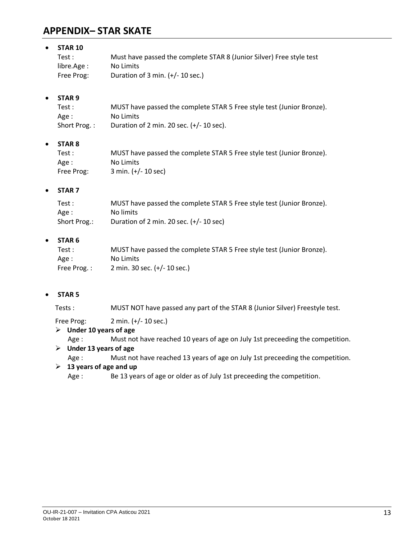## **APPENDIX– STAR SKATE**

| $\bullet$ | <b>STAR 10</b>    |                                                                       |
|-----------|-------------------|-----------------------------------------------------------------------|
|           | Test:             | Must have passed the complete STAR 8 (Junior Silver) Free style test  |
|           | libre.Age:        | No Limits                                                             |
|           | Free Prog:        | Duration of 3 min. $(+/- 10 \text{ sec.})$                            |
| $\bullet$ | STAR <sub>9</sub> |                                                                       |
|           | Test:             | MUST have passed the complete STAR 5 Free style test (Junior Bronze). |
|           | Age :             | No Limits                                                             |
|           | Short Prog.:      | Duration of 2 min. 20 sec. $(+/- 10 \text{ sec})$ .                   |
| $\bullet$ | <b>STAR 8</b>     |                                                                       |
|           | Test:             | MUST have passed the complete STAR 5 Free style test (Junior Bronze). |
|           | Age:              | No Limits                                                             |
|           | Free Prog:        | 3 min. (+/- 10 sec)                                                   |
| $\bullet$ | STAR <sub>7</sub> |                                                                       |
|           | Test:             | MUST have passed the complete STAR 5 Free style test (Junior Bronze). |
|           | Age :             | No limits                                                             |
|           | Short Prog.:      | Duration of 2 min. 20 sec. (+/- 10 sec)                               |
| $\bullet$ | STAR <sub>6</sub> |                                                                       |
|           | + Test            | MUST have nassed the complete STAR 5 Free style test (lunior Bronze)  |

| Test:       | MUST have passed the complete STAR 5 Free style test (Junior Bronze). |
|-------------|-----------------------------------------------------------------------|
| Age :       | No Limits                                                             |
| Free Prog.: | 2 min. 30 sec. $(+/- 10$ sec.)                                        |

#### • **STAR 5**

Tests : MUST NOT have passed any part of the STAR 8 (Junior Silver) Freestyle test.

Free Prog: 2 min. (+/- 10 sec.)

#### ➢ **Under 10 years of age**

Age : Must not have reached 10 years of age on July 1st preceeding the competition.

### ➢ **Under 13 years of age**

Age : Must not have reached 13 years of age on July 1st preceeding the competition.

#### ➢ **13 years of age and up**

Age : Be 13 years of age or older as of July 1st preceeding the competition.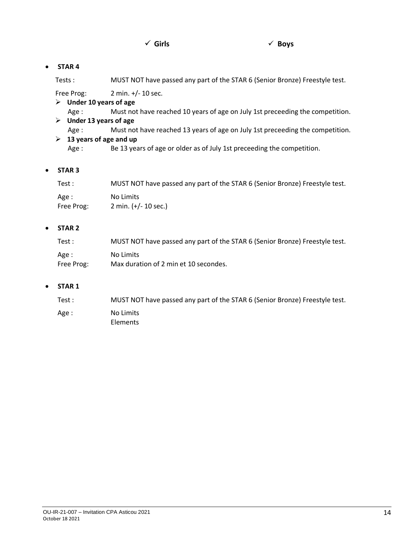#### • **STAR 4**

Tests : MUST NOT have passed any part of the STAR 6 (Senior Bronze) Freestyle test.

Free Prog: 2 min. +/- 10 sec.

- ➢ **Under 10 years of age**
	- Age : Must not have reached 10 years of age on July 1st preceeding the competition.
- ➢ **Under 13 years of age**
	- Age : Must not have reached 13 years of age on July 1st preceeding the competition.

#### ➢ **13 years of age and up**

Age : Be 13 years of age or older as of July 1st preceeding the competition.

#### • **STAR 3**

| Test :     | MUST NOT have passed any part of the STAR 6 (Senior Bronze) Freestyle test. |
|------------|-----------------------------------------------------------------------------|
| Age :      | No Limits                                                                   |
| Free Prog: | 2 min. $(+/- 10$ sec.)                                                      |

#### • **STAR 2**

| Test :     | MUST NOT have passed any part of the STAR 6 (Senior Bronze) Freestyle test. |
|------------|-----------------------------------------------------------------------------|
| Age :      | No Limits                                                                   |
| Free Prog: | Max duration of 2 min et 10 secondes.                                       |

#### • **STAR 1**

| Test: | MUST NOT have passed any part of the STAR 6 (Senior Bronze) Freestyle test. |
|-------|-----------------------------------------------------------------------------|
| Age : | No Limits<br>Elements                                                       |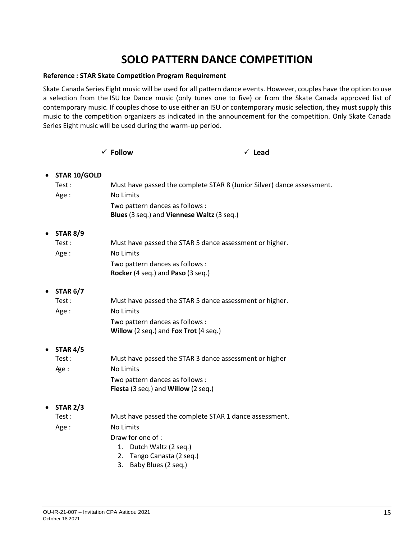# **SOLO PATTERN DANCE COMPETITION**

#### **Reference : STAR Skate Competition Program Requirement**

Skate Canada Series Eight music will be used for all pattern dance events. However, couples have the option to use a selection from the ISU Ice Dance music (only tunes one to five) or from the Skate Canada approved list of contemporary music. If couples chose to use either an ISU or contemporary music selection, they must supply this music to the competition organizers as indicated in the announcement for the competition. Only Skate Canada Series Eight music will be used during the warm-up period.

|           |                 | $\checkmark$ Follow                                                           | $\checkmark$ Lead                                                      |
|-----------|-----------------|-------------------------------------------------------------------------------|------------------------------------------------------------------------|
| $\bullet$ | STAR 10/GOLD    |                                                                               |                                                                        |
|           | Test:           |                                                                               | Must have passed the complete STAR 8 (Junior Silver) dance assessment. |
|           | Age:            | <b>No Limits</b>                                                              |                                                                        |
|           |                 | Two pattern dances as follows :<br>Blues (3 seq.) and Viennese Waltz (3 seq.) |                                                                        |
| $\bullet$ | <b>STAR 8/9</b> |                                                                               |                                                                        |
|           | Test:           | Must have passed the STAR 5 dance assessment or higher.                       |                                                                        |
|           | Age:            | No Limits                                                                     |                                                                        |
|           |                 | Two pattern dances as follows :                                               |                                                                        |
|           |                 | Rocker (4 seq.) and Paso (3 seq.)                                             |                                                                        |
| ٠         | <b>STAR 6/7</b> |                                                                               |                                                                        |
|           | Test:           | Must have passed the STAR 5 dance assessment or higher.                       |                                                                        |
|           | Age:            | <b>No Limits</b>                                                              |                                                                        |
|           |                 | Two pattern dances as follows :<br>Willow (2 seq.) and Fox Trot (4 seq.)      |                                                                        |
| $\bullet$ | <b>STAR 4/5</b> |                                                                               |                                                                        |
|           | Test:           | Must have passed the STAR 3 dance assessment or higher                        |                                                                        |
|           | Age:            | <b>No Limits</b>                                                              |                                                                        |
|           |                 | Two pattern dances as follows :                                               |                                                                        |
|           |                 | Fiesta (3 seq.) and Willow (2 seq.)                                           |                                                                        |
| $\bullet$ | <b>STAR 2/3</b> |                                                                               |                                                                        |
|           | Test:           | Must have passed the complete STAR 1 dance assessment.                        |                                                                        |
|           | Age:            | <b>No Limits</b>                                                              |                                                                        |
|           |                 | Draw for one of :                                                             |                                                                        |
|           |                 | 1. Dutch Waltz (2 seq.)                                                       |                                                                        |
|           |                 | Tango Canasta (2 seq.)<br>2.                                                  |                                                                        |
|           |                 | Baby Blues (2 seq.)<br>3.                                                     |                                                                        |
|           |                 |                                                                               |                                                                        |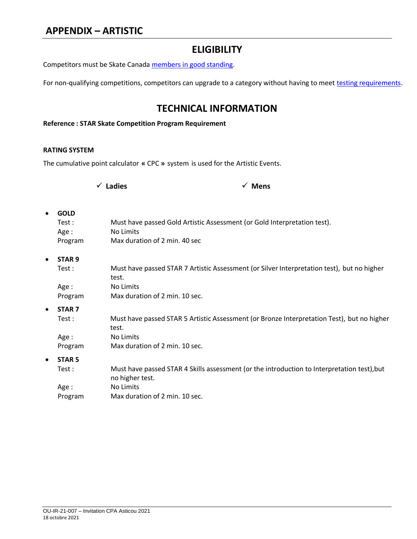## **ELIGIBILITY**

Competitors must be Skate Canad[a members in good standing.](https://info.skatecanada.ca/index.php/en-ca/rules-of-sport/54-competitions.html)

For non-qualifying competitions, competitors can upgrade to a category without having to meet [testing requirements.](https://info.skatecanada.ca/index.php/en-ca/rules-of-sport/261-competitive-competition-program-requirements.html)

## **TECHNICAL INFORMATION**

#### **Reference : STAR Skate Competition Program Requirement**

#### **RATING SYSTEM**

The cumulative point calculator **«** CPC **»** system is used for the Artistic Events.

| $\checkmark$ Ladies |
|---------------------|
|---------------------|

✓ **Ladies** ✓ **Mens**

| $\bullet$ | <b>GOLD</b><br>Test :<br>Age:<br>Program | Must have passed Gold Artistic Assessment (or Gold Interpretation test).<br>No Limits<br>Max duration of 2 min. 40 sec |
|-----------|------------------------------------------|------------------------------------------------------------------------------------------------------------------------|
| $\bullet$ | STAR <sub>9</sub>                        |                                                                                                                        |
|           | Test:                                    | Must have passed STAR 7 Artistic Assessment (or Silver Interpretation test), but no higher<br>test.                    |
|           | Age :                                    | No Limits                                                                                                              |
|           | Program                                  | Max duration of 2 min. 10 sec.                                                                                         |
| $\bullet$ | <b>STAR 7</b>                            |                                                                                                                        |
|           | Test:                                    | Must have passed STAR 5 Artistic Assessment (or Bronze Interpretation Test), but no higher<br>test.                    |
|           | Age:                                     | No Limits                                                                                                              |
|           | Program                                  | Max duration of 2 min. 10 sec.                                                                                         |
| $\bullet$ | <b>STAR 5</b>                            |                                                                                                                        |
|           | Test:                                    | Must have passed STAR 4 Skills assessment (or the introduction to Interpretation test), but<br>no higher test.         |
|           | Age:                                     | No Limits                                                                                                              |
|           | Program                                  | Max duration of 2 min. 10 sec.                                                                                         |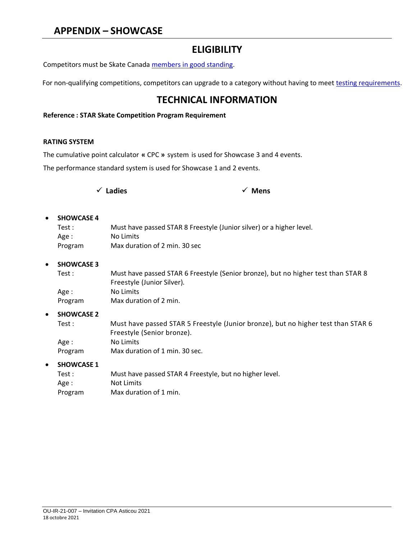## **APPENDIX – SHOWCASE**

## **ELIGIBILITY**

Competitors must be Skate Canad[a members in good standing.](https://info.skatecanada.ca/index.php/en-ca/rules-of-sport/54-competitions.html)

For non-qualifying competitions, competitors can upgrade to a category without having to meet [testing requirements.](https://info.skatecanada.ca/index.php/en-ca/rules-of-sport/261-competitive-competition-program-requirements.html)

## **TECHNICAL INFORMATION**

#### **Reference : STAR Skate Competition Program Requirement**

#### **RATING SYSTEM**

The cumulative point calculator **«** CPC **»** system is used for Showcase 3 and 4 events.

The performance standard system is used for Showcase 1 and 2 events.

|  | $\checkmark$ Ladies |  | $\checkmark$ Mens |
|--|---------------------|--|-------------------|
|--|---------------------|--|-------------------|

| • SHOWCASE 4 |                                                                      |
|--------------|----------------------------------------------------------------------|
| Test:        | Must have passed STAR 8 Freestyle (Junior silver) or a higher level. |
| Age :        | No Limits                                                            |
| Program      | Max duration of 2 min. 30 sec                                        |

#### • **SHOWCASE 3**

| Test :  | Must have passed STAR 6 Freestyle (Senior bronze), but no higher test than STAR 8 |
|---------|-----------------------------------------------------------------------------------|
|         | Freestyle (Junior Silver).                                                        |
| Age :   | No Limits                                                                         |
| Program | Max duration of 2 min.                                                            |

#### • **SHOWCASE 2**

Test : Must have passed STAR 5 Freestyle (Junior bronze), but no higher test than STAR 6 Freestyle (Senior bronze). Age : No Limits Program Max duration of 1 min. 30 sec.

#### • **SHOWCASE 1**

| Test :  | Must have passed STAR 4 Freestyle, but no higher level. |
|---------|---------------------------------------------------------|
| Age :   | Not Limits                                              |
| Program | Max duration of 1 min.                                  |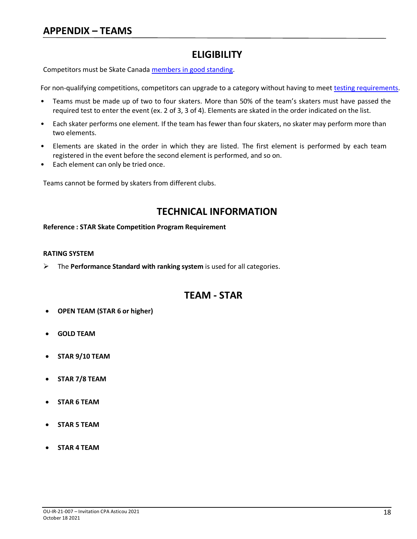## **ELIGIBILITY**

Competitors must be Skate Canad[a members in good standing.](https://info.skatecanada.ca/index.php/en-ca/rules-of-sport/54-competitions.html)

For non-qualifying competitions, competitors can upgrade to a category without having to mee[t testing requirements.](https://info.skatecanada.ca/index.php/en-ca/rules-of-sport/261-competitive-competition-program-requirements.html)

- Teams must be made up of two to four skaters. More than 50% of the team's skaters must have passed the required test to enter the event (ex. 2 of 3, 3 of 4). Elements are skated in the order indicated on the list.
- Each skater performs one element. If the team has fewer than four skaters, no skater may perform more than two elements.
- Elements are skated in the order in which they are listed. The first element is performed by each team registered in the event before the second element is performed, and so on.
- Each element can only be tried once.

Teams cannot be formed by skaters from different clubs.

## **TECHNICAL INFORMATION**

**Reference : STAR Skate Competition Program Requirement**

#### **RATING SYSTEM**

➢ The **Performance Standard with ranking system** is used for all categories.

## **TEAM - STAR**

- **OPEN TEAM (STAR 6 or higher)**
- **GOLD TEAM**
- **STAR 9/10 TEAM**
- **STAR 7/8 TEAM**
- **STAR 6 TEAM**
- **STAR 5 TEAM**
- **STAR 4 TEAM**